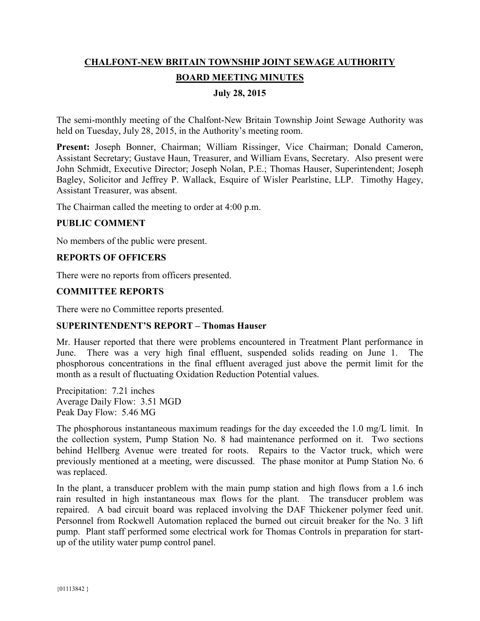# **CHALFONT-NEW BRITAIN TOWNSHIP JOINT SEWAGE AUTHORITY BOARD MEETING MINUTES**

# **July 28, 2015**

The semi-monthly meeting of the Chalfont-New Britain Township Joint Sewage Authority was held on Tuesday, July 28, 2015, in the Authority's meeting room.

**Present:** Joseph Bonner, Chairman; William Rissinger, Vice Chairman; Donald Cameron, Assistant Secretary; Gustave Haun, Treasurer, and William Evans, Secretary. Also present were John Schmidt, Executive Director; Joseph Nolan, P.E.; Thomas Hauser, Superintendent; Joseph Bagley, Solicitor and Jeffrey P. Wallack, Esquire of Wisler Pearlstine, LLP. Timothy Hagey, Assistant Treasurer, was absent.

The Chairman called the meeting to order at 4:00 p.m.

#### **PUBLIC COMMENT**

No members of the public were present.

#### **REPORTS OF OFFICERS**

There were no reports from officers presented.

## **COMMITTEE REPORTS**

There were no Committee reports presented.

#### **SUPERINTENDENT'S REPORT – Thomas Hauser**

Mr. Hauser reported that there were problems encountered in Treatment Plant performance in June. There was a very high final effluent, suspended solids reading on June 1. The phosphorous concentrations in the final effluent averaged just above the permit limit for the month as a result of fluctuating Oxidation Reduction Potential values.

Precipitation: 7.21 inches Average Daily Flow: 3.51 MGD Peak Day Flow: 5.46 MG

The phosphorous instantaneous maximum readings for the day exceeded the 1.0 mg/L limit. In the collection system, Pump Station No. 8 had maintenance performed on it. Two sections behind Hellberg Avenue were treated for roots. Repairs to the Vactor truck, which were previously mentioned at a meeting, were discussed. The phase monitor at Pump Station No. 6 was replaced.

In the plant, a transducer problem with the main pump station and high flows from a 1.6 inch rain resulted in high instantaneous max flows for the plant. The transducer problem was repaired. A bad circuit board was replaced involving the DAF Thickener polymer feed unit. Personnel from Rockwell Automation replaced the burned out circuit breaker for the No. 3 lift pump. Plant staff performed some electrical work for Thomas Controls in preparation for startup of the utility water pump control panel.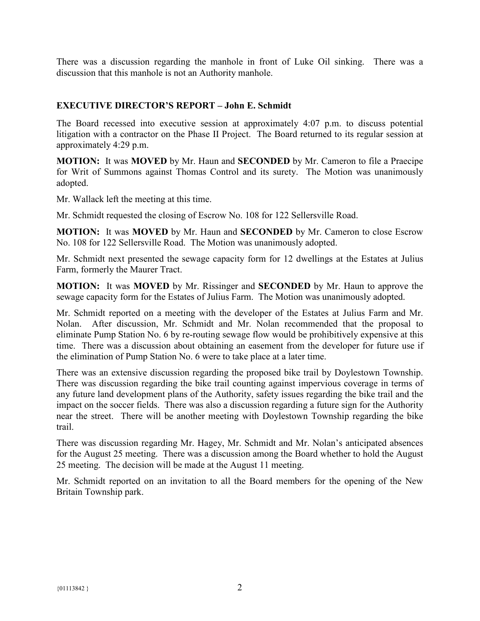There was a discussion regarding the manhole in front of Luke Oil sinking. There was a discussion that this manhole is not an Authority manhole.

# **EXECUTIVE DIRECTOR'S REPORT – John E. Schmidt**

The Board recessed into executive session at approximately 4:07 p.m. to discuss potential litigation with a contractor on the Phase II Project. The Board returned to its regular session at approximately 4:29 p.m.

**MOTION:** It was **MOVED** by Mr. Haun and **SECONDED** by Mr. Cameron to file a Praecipe for Writ of Summons against Thomas Control and its surety. The Motion was unanimously adopted.

Mr. Wallack left the meeting at this time.

Mr. Schmidt requested the closing of Escrow No. 108 for 122 Sellersville Road.

**MOTION:** It was **MOVED** by Mr. Haun and **SECONDED** by Mr. Cameron to close Escrow No. 108 for 122 Sellersville Road. The Motion was unanimously adopted.

Mr. Schmidt next presented the sewage capacity form for 12 dwellings at the Estates at Julius Farm, formerly the Maurer Tract.

**MOTION:** It was **MOVED** by Mr. Rissinger and **SECONDED** by Mr. Haun to approve the sewage capacity form for the Estates of Julius Farm. The Motion was unanimously adopted.

Mr. Schmidt reported on a meeting with the developer of the Estates at Julius Farm and Mr. Nolan. After discussion, Mr. Schmidt and Mr. Nolan recommended that the proposal to eliminate Pump Station No. 6 by re-routing sewage flow would be prohibitively expensive at this time. There was a discussion about obtaining an easement from the developer for future use if the elimination of Pump Station No. 6 were to take place at a later time.

There was an extensive discussion regarding the proposed bike trail by Doylestown Township. There was discussion regarding the bike trail counting against impervious coverage in terms of any future land development plans of the Authority, safety issues regarding the bike trail and the impact on the soccer fields. There was also a discussion regarding a future sign for the Authority near the street. There will be another meeting with Doylestown Township regarding the bike trail.

There was discussion regarding Mr. Hagey, Mr. Schmidt and Mr. Nolan's anticipated absences for the August 25 meeting. There was a discussion among the Board whether to hold the August 25 meeting. The decision will be made at the August 11 meeting.

Mr. Schmidt reported on an invitation to all the Board members for the opening of the New Britain Township park.